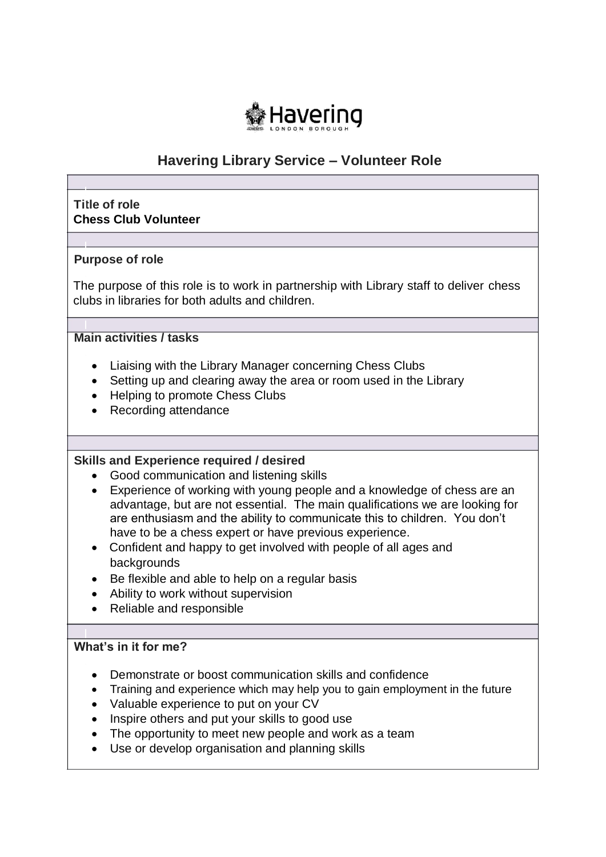

# **Havering Library Service – Volunteer Role**

## **Title of role Chess Club Volunteer**

## **Purpose of role**

The purpose of this role is to work in partnership with Library staff to deliver chess clubs in libraries for both adults and children.

## **Main activities / tasks**

- Liaising with the Library Manager concerning Chess Clubs
- Setting up and clearing away the area or room used in the Library
- Helping to promote Chess Clubs
- Recording attendance

#### **Skills and Experience required / desired**

- Good communication and listening skills
- Experience of working with young people and a knowledge of chess are an advantage, but are not essential. The main qualifications we are looking for are enthusiasm and the ability to communicate this to children. You don't have to be a chess expert or have previous experience.
- Confident and happy to get involved with people of all ages and backgrounds
- Be flexible and able to help on a regular basis
- Ability to work without supervision
- Reliable and responsible

# **What's in it for me?**

- Demonstrate or boost communication skills and confidence
- Training and experience which may help you to gain employment in the future
- Valuable experience to put on your CV
- Inspire others and put your skills to good use
- The opportunity to meet new people and work as a team
- Use or develop organisation and planning skills